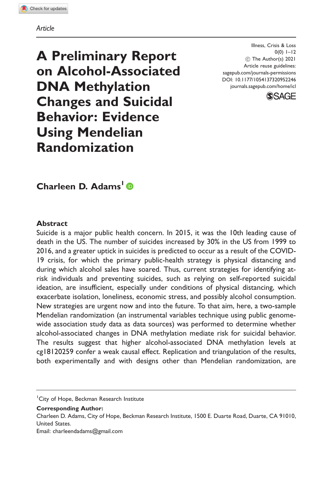Article

A Preliminary Report on Alcohol-Associated DNA Methylation Changes and Suicidal Behavior: Evidence Using Mendelian Randomization

Illness, Crisis & Loss  $0(0)$   $1-12$  $\circled{c}$  The Author(s) 2021 Article reuse guidelines: [sagepub.com/journals-permissions](http://us.sagepub.com/en-us/journals-permissions) [DOI: 10.1177/1054137320952246](http://dx.doi.org/10.1177/1054137320952246) <journals.sagepub.com/home/icl>



Charleen D. Adams<sup>1</sup>

### **Abstract**

Suicide is a major public health concern. In 2015, it was the 10th leading cause of death in the US. The number of suicides increased by 30% in the US from 1999 to 2016, and a greater uptick in suicides is predicted to occur as a result of the COVID-19 crisis, for which the primary public-health strategy is physical distancing and during which alcohol sales have soared. Thus, current strategies for identifying atrisk individuals and preventing suicides, such as relying on self-reported suicidal ideation, are insufficient, especially under conditions of physical distancing, which exacerbate isolation, loneliness, economic stress, and possibly alcohol consumption. New strategies are urgent now and into the future. To that aim, here, a two-sample Mendelian randomization (an instrumental variables technique using public genomewide association study data as data sources) was performed to determine whether alcohol-associated changes in DNA methylation mediate risk for suicidal behavior. The results suggest that higher alcohol-associated DNA methylation levels at cg18120259 confer a weak causal effect. Replication and triangulation of the results, both experimentally and with designs other than Mendelian randomization, are

<sup>1</sup> City of Hope, Beckman Research Institute

Corresponding Author:

Charleen D. Adams, City of Hope, Beckman Research Institute, 1500 E. Duarte Road, Duarte, CA 91010, United States.

Email: [charleendadams@gmail.com](mailto:charleendadams@gmail.com)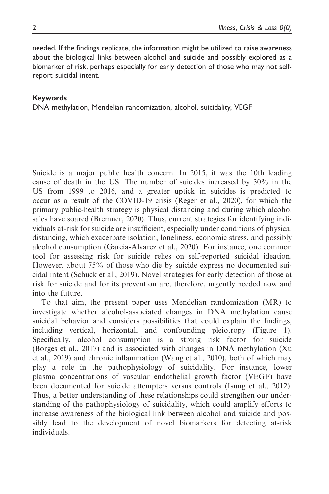needed. If the findings replicate, the information might be utilized to raise awareness about the biological links between alcohol and suicide and possibly explored as a biomarker of risk, perhaps especially for early detection of those who may not selfreport suicidal intent.

### Keywords

DNA methylation, Mendelian randomization, alcohol, suicidality, VEGF

Suicide is a major public health concern. In 2015, it was the 10th leading cause of death in the US. The number of suicides increased by 30% in the US from 1999 to 2016, and a greater uptick in suicides is predicted to occur as a result of the COVID-19 crisis (Reger et al., 2020), for which the primary public-health strategy is physical distancing and during which alcohol sales have soared (Bremner, 2020). Thus, current strategies for identifying individuals at-risk for suicide are insufficient, especially under conditions of physical distancing, which exacerbate isolation, loneliness, economic stress, and possibly alcohol consumption (Garcia-Alvarez et al., 2020). For instance, one common tool for assessing risk for suicide relies on self-reported suicidal ideation. However, about 75% of those who die by suicide express no documented suicidal intent (Schuck et al., 2019). Novel strategies for early detection of those at risk for suicide and for its prevention are, therefore, urgently needed now and into the future.

To that aim, the present paper uses Mendelian randomization (MR) to investigate whether alcohol-associated changes in DNA methylation cause suicidal behavior and considers possibilities that could explain the findings, including vertical, horizontal, and confounding pleiotropy (Figure 1). Specifically, alcohol consumption is a strong risk factor for suicide (Borges et al., 2017) and is associated with changes in DNA methylation (Xu et al., 2019) and chronic inflammation (Wang et al., 2010), both of which may play a role in the pathophysiology of suicidality. For instance, lower plasma concentrations of vascular endothelial growth factor (VEGF) have been documented for suicide attempters versus controls (Isung et al., 2012). Thus, a better understanding of these relationships could strengthen our understanding of the pathophysiology of suicidality, which could amplify efforts to increase awareness of the biological link between alcohol and suicide and possibly lead to the development of novel biomarkers for detecting at-risk individuals.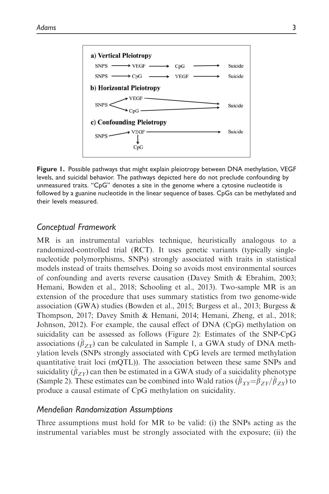

Figure 1. Possible pathways that might explain pleiotropy between DNA methylation, VEGF levels, and suicidal behavior. The pathways depicted here do not preclude confounding by unmeasured traits. "CpG" denotes a site in the genome where a cytosine nucleotide is followed by a guanine nucleotide in the linear sequence of bases. CpGs can be methylated and their levels measured.

## Conceptual Framework

MR is an instrumental variables technique, heuristically analogous to a randomized-controlled trial (RCT). It uses genetic variants (typically singlenucleotide polymorphisms, SNPs) strongly associated with traits in statistical models instead of traits themselves. Doing so avoids most environmental sources of confounding and averts reverse causation (Davey Smith & Ebrahim, 2003; Hemani, Bowden et al., 2018; Schooling et al., 2013). Two-sample MR is an extension of the procedure that uses summary statistics from two genome-wide association (GWA) studies (Bowden et al., 2015; Burgess et al., 2013; Burgess & Thompson, 2017; Davey Smith & Hemani, 2014; Hemani, Zheng, et al., 2018; Johnson, 2012). For example, the causal effect of DNA (CpG) methylation on suicidality can be assessed as follows (Figure 2): Estimates of the SNP-CpG associations  $(\hat{\beta}_{ZX})$  can be calculated in Sample 1, a GWA study of DNA methylation levels (SNPs strongly associated with CpG levels are termed methylation quantitative trait loci (mQTL)). The association between these same SNPs and suicidality ( $(\hat{\beta}_{ZY})$  can then be estimated in a GWA study of a suicidality phenotype (Sample 2). These estimates can be combined into Wald ratios  $(\hat{\beta}_{XY}=\hat{\beta}_{ZY}/\hat{\beta}_{ZX})$  to produce a causal estimate of CpG methylation on suicidality.

## Mendelian Randomization Assumptions

Three assumptions must hold for MR to be valid: (i) the SNPs acting as the instrumental variables must be strongly associated with the exposure; (ii) the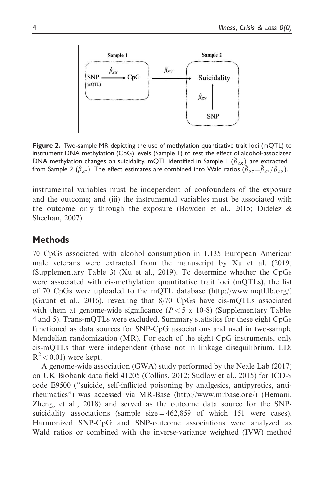

Figure 2. Two-sample MR depicting the use of methylation quantitative trait loci (mQTL) to instrument DNA methylation (CpG) levels (Sample 1) to test the effect of alcohol-associated DNA methylation changes on suicidality. mQTL identified in Sample 1  $(\hat{\beta}_{ZX)}$  are extracted from Sample 2 ( $\beta_{ZY}$ ). The effect estimates are combined into Wald ratios ( $\beta_{XY}=\beta_{ZY}/\beta_{ZX}$ ).

instrumental variables must be independent of confounders of the exposure and the outcome; and (iii) the instrumental variables must be associated with the outcome only through the exposure (Bowden et al., 2015; Didelez  $\&$ Sheehan, 2007).

# **Methods**

70 CpGs associated with alcohol consumption in 1,135 European American male veterans were extracted from the manuscript by Xu et al. (2019) (Supplementary Table 3) (Xu et al., 2019). To determine whether the CpGs were associated with cis-methylation quantitative trait loci (mQTLs), the list of 70 CpGs were uploaded to the mQTL database [\(http://www.mqtldb.org/\)](http://www.mqtldb.org/) (Gaunt et al., 2016), revealing that 8/70 CpGs have cis-mQTLs associated with them at genome-wide significance  $(P < 5 \times 10^{-8})$  (Supplementary Tables 4 and 5). Trans-mQTLs were excluded. Summary statistics for these eight CpGs functioned as data sources for SNP-CpG associations and used in two-sample Mendelian randomization (MR). For each of the eight CpG instruments, only cis-mQTLs that were independent (those not in linkage disequilibrium, LD;  $R^2$  < 0.01) were kept.

A genome-wide association (GWA) study performed by the Neale Lab (2017) on UK Biobank data field 41205 (Collins, 2012; Sudlow et al., 2015) for ICD-9 code E9500 ("suicide, self-inflicted poisoning by analgesics, antipyretics, antirheumatics") was accessed via MR-Base ([http://www.mrbase.org/\)](http://www.mrbase.org/) (Hemani, Zheng, et al., 2018) and served as the outcome data source for the SNPsuicidality associations (sample  $size = 462,859$  of which 151 were cases). Harmonized SNP-CpG and SNP-outcome associations were analyzed as Wald ratios or combined with the inverse-variance weighted (IVW) method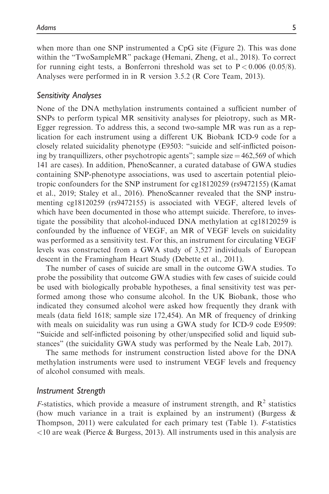when more than one SNP instrumented a CpG site (Figure 2). This was done within the "TwoSampleMR" package (Hemani, Zheng, et al., 2018). To correct for running eight tests, a Bonferroni threshold was set to  $P < 0.006$  (0.05/8). Analyses were performed in in R version 3.5.2 (R Core Team, 2013).

## Sensitivity Analyses

None of the DNA methylation instruments contained a sufficient number of SNPs to perform typical MR sensitivity analyses for pleiotropy, such as MR-Egger regression. To address this, a second two-sample MR was run as a replication for each instrument using a different UK Biobank ICD-9 code for a closely related suicidality phenotype (E9503: "suicide and self-inflicted poisoning by tranquillizers, other psychotropic agents"; sample size  $=$  462,569 of which 141 are cases). In addition, PhenoScanner, a curated database of GWA studies containing SNP-phenotype associations, was used to ascertain potential pleiotropic confounders for the SNP instrument for cg18120259 (rs9472155) (Kamat et al., 2019; Staley et al., 2016). PhenoScanner revealed that the SNP instrumenting cg18120259 (rs9472155) is associated with VEGF, altered levels of which have been documented in those who attempt suicide. Therefore, to investigate the possibility that alcohol-induced DNA methylation at cg18120259 is confounded by the influence of VEGF, an MR of VEGF levels on suicidality was performed as a sensitivity test. For this, an instrument for circulating VEGF levels was constructed from a GWA study of 3,527 individuals of European descent in the Framingham Heart Study (Debette et al., 2011).

The number of cases of suicide are small in the outcome GWA studies. To probe the possibility that outcome GWA studies with few cases of suicide could be used with biologically probable hypotheses, a final sensitivity test was performed among those who consume alcohol. In the UK Biobank, those who indicated they consumed alcohol were asked how frequently they drank with meals (data field 1618; sample size 172,454). An MR of frequency of drinking with meals on suicidality was run using a GWA study for ICD-9 code E9509: "Suicide and self-inflicted poisoning by other/unspecified solid and liquid substances" (the suicidality GWA study was performed by the Neale Lab, 2017).

The same methods for instrument construction listed above for the DNA methylation instruments were used to instrument VEGF levels and frequency of alcohol consumed with meals.

## Instrument Strength

*F*-statistics, which provide a measure of instrument strength, and  $\mathbb{R}^2$  statistics (how much variance in a trait is explained by an instrument) (Burgess  $\&$ Thompson, 2011) were calculated for each primary test (Table 1). F-statistics  $\langle 10 \text{ are weak}$  (Pierce & Burgess, 2013). All instruments used in this analysis are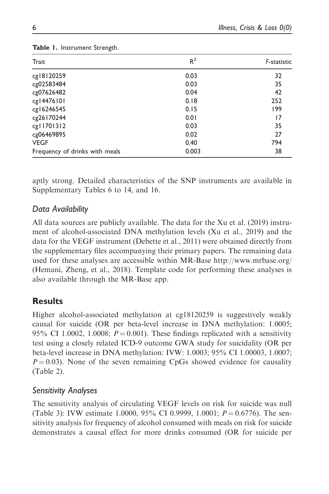| Trait                          | $R^2$ | F-statistic |
|--------------------------------|-------|-------------|
| cg18120259                     | 0.03  | 32          |
| cg02583484                     | 0.03  | 35          |
| cg07626482                     | 0.04  | 42          |
| cg14476101                     | 0.18  | 252         |
| cg16246545                     | 0.15  | 199         |
| cg26170244                     | 0.01  | 17          |
| cg11701312                     | 0.03  | 35          |
| cg06469895                     | 0.02  | 27          |
| <b>VEGF</b>                    | 0.40  | 794         |
| Frequency of drinks with meals | 0.003 | 38          |

### Table 1. Instrument Strength.

aptly strong. Detailed characteristics of the SNP instruments are available in Supplementary Tables 6 to 14, and 16.

## Data Availability

All data sources are publicly available. The data for the Xu et al. (2019) instrument of alcohol-associated DNA methylation levels (Xu et al., 2019) and the data for the VEGF instrument (Debette et al., 2011) were obtained directly from the supplementary files accompanying their primary papers. The remaining data used for these analyses are accessible within MR-Base<http://www.mrbase.org/> (Hemani, Zheng, et al., 2018). Template code for performing these analyses is also available through the MR-Base app.

# Results

Higher alcohol-associated methylation at cg18120259 is suggestively weakly causal for suicide (OR per beta-level increase in DNA methylation: 1.0005; 95% CI 1.0002, 1.0008;  $P = 0.001$ ). These findings replicated with a sensitivity test using a closely related ICD-9 outcome GWA study for suicidality (OR per beta-level increase in DNA methylation: IVW: 1.0003; 95% CI 1.00003, 1.0007;  $P = 0.03$ ). None of the seven remaining CpGs showed evidence for causality (Table 2).

# Sensitivity Analyses

The sensitivity analysis of circulating VEGF levels on risk for suicide was null (Table 3): IVW estimate 1.0000, 95% CI 0.9999, 1.0001;  $P = 0.6776$ ). The sensitivity analysis for frequency of alcohol consumed with meals on risk for suicide demonstrates a causal effect for more drinks consumed (OR for suicide per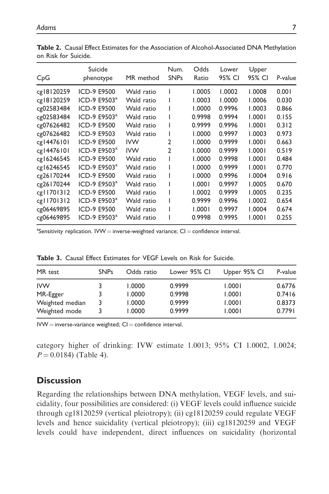| CpG        | Suicide<br>phenotype     | MR method  | Num.<br><b>SNPs</b> | Odds<br>Ratio | Lower<br>95% CI | Upper<br>95% CI | P-value |
|------------|--------------------------|------------|---------------------|---------------|-----------------|-----------------|---------|
| cg18120259 | ICD-9 E9500              | Wald ratio | L                   | 1.0005        | 1.0002          | 1.0008          | 0.001   |
| cg18120259 | ICD-9 E9503 <sup>a</sup> | Wald ratio |                     | 1.0003        | 1.0000          | 1.0006          | 0.030   |
| cg02583484 | ICD-9 E9500              | Wald ratio |                     | 1.0000        | 0.9996          | 1.0003          | 0.866   |
| cg02583484 | ICD-9 E9503 <sup>a</sup> | Wald ratio |                     | 0.9998        | 0.9994          | 1.0001          | 0.155   |
| cg07626482 | ICD-9 E9500              | Wald ratio |                     | 0.9999        | 0.9996          | 1.0001          | 0.312   |
| cg07626482 | ICD-9 E9503              | Wald ratio | ı                   | 1.0000        | 0.9997          | 1.0003          | 0.973   |
| cg14476101 | ICD-9 E9500              | <b>IVW</b> | $\mathfrak{p}$      | 1.0000        | 0.9999          | 1.0001          | 0.663   |
| cg14476101 | ICD-9 E9503 <sup>a</sup> | <b>IVW</b> | $\mathfrak{p}$      | 1.0000        | 0.9999          | 1.0001          | 0.519   |
| cg16246545 | ICD-9 E9500              | Wald ratio |                     | 1.0000        | 0.9998          | 1.0001          | 0.484   |
| cg16246545 | ICD-9 E9503 <sup>a</sup> | Wald ratio | ı                   | 1.0000        | 0.9999          | 1.0001          | 0.770   |
| cg26170244 | ICD-9 E9500              | Wald ratio | ı                   | 1.0000        | 0.9996          | 1.0004          | 0.916   |
| cg26170244 | ICD-9 E9503 <sup>a</sup> | Wald ratio | ı                   | 1.0001        | 0.9997          | 1.0005          | 0.670   |
| cg11701312 | ICD-9 E9500              | Wald ratio | ı                   | 1.0002        | 0.9999          | 1.0005          | 0.235   |
| cg11701312 | ICD-9 E9503 <sup>a</sup> | Wald ratio | L                   | 0.9999        | 0.9996          | 1.0002          | 0.654   |
| cg06469895 | ICD-9 E9500              | Wald ratio |                     | 1.0001        | 0.9997          | 1.0004          | 0.674   |
| cg06469895 | ICD-9 E9503 <sup>a</sup> | Wald ratio |                     | 0.9998        | 0.9995          | 1.0001          | 0.255   |

Table 2. Causal Effect Estimates for the Association of Alcohol-Associated DNA Methylation on Risk for Suicide.

 $^{\text{a}}$ Sensitivity replication. IVW  $=$  inverse-weighted variance; CI  $=$  confidence interval.

| MR test         | <b>SNPs</b> | Odds ratio | Lower 95% CI | Upper 95% CI | P-value |
|-----------------|-------------|------------|--------------|--------------|---------|
| <b>IVW</b>      |             | 1.0000     | 0.9999       | 1.0001       | 0.6776  |
| MR-Egger        |             | 1.0000     | 0.9998       | 1.0001       | 0.7416  |
| Weighted median | 3           | 1.0000     | 0.9999       | 1.0001       | 0.8373  |
| Weighted mode   |             | 1.0000     | 0.9999       | 1.0001       | 0.7791  |

Table 3. Causal Effect Estimates for VEGF Levels on Risk for Suicide.

 $IVW =$  inverse-variance weighted;  $CI =$  confidence interval.

category higher of drinking: IVW estimate 1.0013; 95% CI 1.0002, 1.0024;  $P = 0.0184$  (Table 4).

# **Discussion**

Regarding the relationships between DNA methylation, VEGF levels, and suicidality, four possibilities are considered: (i) VEGF levels could influence suicide through cg18120259 (vertical pleiotropy); (ii) cg18120259 could regulate VEGF levels and hence suicidality (vertical pleiotropy); (iii) cg18120259 and VEGF levels could have independent, direct influences on suicidality (horizontal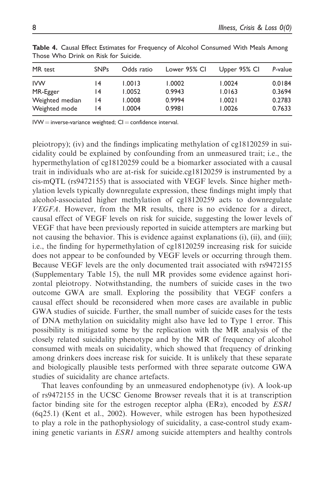| MR test         | <b>SNPs</b>     | Odds ratio | Lower 95% CI | Upper 95% CI | P-value |
|-----------------|-----------------|------------|--------------|--------------|---------|
| <b>IVW</b>      | 14              | 1.0013     | 1.0002       | 1.0024       | 0.0184  |
| MR-Egger        | 14              | 1.0052     | 0.9943       | 1.0163       | 0.3694  |
| Weighted median | $\overline{14}$ | 1.0008     | 0.9994       | 1.0021       | 0.2783  |
| Weighted mode   | 14              | 1.0004     | 0.9981       | 1.0026       | 0.7633  |

Table 4. Causal Effect Estimates for Frequency of Alcohol Consumed With Meals Among Those Who Drink on Risk for Suicide.

 $IVW =$  inverse-variance weighted;  $CI =$  confidence interval.

pleiotropy); (iv) and the findings implicating methylation of cg18120259 in suicidality could be explained by confounding from an unmeasured trait; i.e., the hypermethylation of cg18120259 could be a biomarker associated with a causal trait in individuals who are at-risk for suicide.cg18120259 is instrumented by a cis-mQTL (rs9472155) that is associated with VEGF levels. Since higher methylation levels typically downregulate expression, these findings might imply that alcohol-associated higher methylation of cg18120259 acts to downregulate VEGFA. However, from the MR results, there is no evidence for a direct, causal effect of VEGF levels on risk for suicide, suggesting the lower levels of VEGF that have been previously reported in suicide attempters are marking but not causing the behavior. This is evidence against explanations (i), (ii), and (iii); i.e., the finding for hypermethylation of cg18120259 increasing risk for suicide does not appear to be confounded by VEGF levels or occurring through them. Because VEGF levels are the only documented trait associated with rs9472155 (Supplementary Table 15), the null MR provides some evidence against horizontal pleiotropy. Notwithstanding, the numbers of suicide cases in the two outcome GWA are small. Exploring the possibility that VEGF confers a causal effect should be reconsidered when more cases are available in public GWA studies of suicide. Further, the small number of suicide cases for the tests of DNA methylation on suicidality might also have led to Type 1 error. This possibility is mitigated some by the replication with the MR analysis of the closely related suicidality phenotype and by the MR of frequency of alcohol consumed with meals on suicidality, which showed that frequency of drinking among drinkers does increase risk for suicide. It is unlikely that these separate and biologically plausible tests performed with three separate outcome GWA studies of suicidality are chance artefacts.

That leaves confounding by an unmeasured endophenotype (iv). A look-up of rs9472155 in the UCSC Genome Browser reveals that it is at transcription factor binding site for the estrogen receptor alpha ( $ER\alpha$ ), encoded by  $ESRI$ (6q25.1) (Kent et al., 2002). However, while estrogen has been hypothesized to play a role in the pathophysiology of suicidality, a case-control study examining genetic variants in *ESR1* among suicide attempters and healthy controls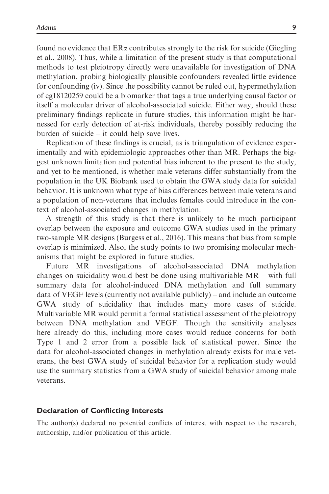found no evidence that  $ER\alpha$  contributes strongly to the risk for suicide (Giegling et al., 2008). Thus, while a limitation of the present study is that computational methods to test pleiotropy directly were unavailable for investigation of DNA methylation, probing biologically plausible confounders revealed little evidence for confounding (iv). Since the possibility cannot be ruled out, hypermethylation of cg18120259 could be a biomarker that tags a true underlying causal factor or itself a molecular driver of alcohol-associated suicide. Either way, should these preliminary findings replicate in future studies, this information might be harnessed for early detection of at-risk individuals, thereby possibly reducing the burden of suicide – it could help save lives.

Replication of these findings is crucial, as is triangulation of evidence experimentally and with epidemiologic approaches other than MR. Perhaps the biggest unknown limitation and potential bias inherent to the present to the study, and yet to be mentioned, is whether male veterans differ substantially from the population in the UK Biobank used to obtain the GWA study data for suicidal behavior. It is unknown what type of bias differences between male veterans and a population of non-veterans that includes females could introduce in the context of alcohol-associated changes in methylation.

A strength of this study is that there is unlikely to be much participant overlap between the exposure and outcome GWA studies used in the primary two-sample MR designs (Burgess et al., 2016). This means that bias from sample overlap is minimized. Also, the study points to two promising molecular mechanisms that might be explored in future studies.

Future MR investigations of alcohol-associated DNA methylation changes on suicidality would best be done using multivariable MR – with full summary data for alcohol-induced DNA methylation and full summary data of VEGF levels (currently not available publicly) – and include an outcome GWA study of suicidality that includes many more cases of suicide. Multivariable MR would permit a formal statistical assessment of the pleiotropy between DNA methylation and VEGF. Though the sensitivity analyses here already do this, including more cases would reduce concerns for both Type 1 and 2 error from a possible lack of statistical power. Since the data for alcohol-associated changes in methylation already exists for male veterans, the best GWA study of suicidal behavior for a replication study would use the summary statistics from a GWA study of suicidal behavior among male veterans.

### Declaration of Conflicting Interests

The author(s) declared no potential conflicts of interest with respect to the research, authorship, and/or publication of this article.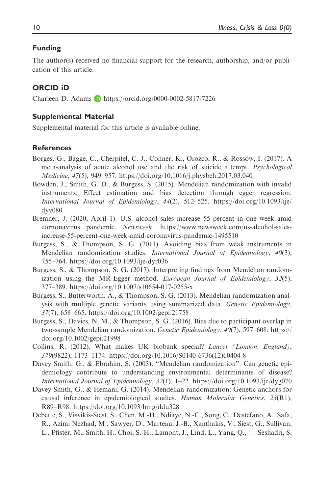### Funding

The author(s) received no financial support for the research, authorship, and/or publication of this article.

### ORCID iD

Charleen D. Adams  $\Box$  <https://orcid.org/0000-0002-5817-7226>

#### Supplemental Material

Supplemental material for this article is available online.

### References

- Borges, G., Bagge, C., Cherpitel, C. J., Conner, K., Orozco, R., & Rossow, I. (2017). A meta-analysis of acute alcohol use and the risk of suicide attempt. Psychological Medicine, 47(5), 949–957.<https://doi.org/10.1016/j.physbeh.2017.03.040>
- Bowden, J., Smith, G. D., & Burgess, S. (2015). Mendelian randomization with invalid instruments: Effect estimation and bias detection through egger regression. International Journal of Epidemiology, 44(2), 512–525. [https://doi.org/10.1093/ije/](https://doi.org/10.1093/ije/dyv080) [dyv080](https://doi.org/10.1093/ije/dyv080)
- Bremner, J. (2020, April 1). U.S. alcohol sales increase 55 percent in one week amid cornonavirus pandemic. Newsweek. [https://www.newsweek.com/us-alcohol-sales](https://www.newsweek.com/us-alcohol-sales-increase-55-percent-one-week-amid-coronavirus-pandemic-1495510)[increase-55-percent-one-week-amid-coronavirus-pandemic-1495510](https://www.newsweek.com/us-alcohol-sales-increase-55-percent-one-week-amid-coronavirus-pandemic-1495510)
- Burgess, S., & Thompson, S. G. (2011). Avoiding bias from weak instruments in Mendelian randomization studies. *International Journal of Epidemiology*, 40(3), 755–764.<https://doi.org/10.1093/ije/dyr036>
- Burgess, S., & Thompson, S. G. (2017). Interpreting findings from Mendelian randomization using the MR-Egger method. European Journal of Epidemiology, 32(5), 377–389.<https://doi.org/10.1007/s10654-017-0255-x>
- Burgess, S., Butterworth, A., & Thompson, S. G. (2013). Mendelian randomization analysis with multiple genetic variants using summarized data. Genetic Epidemiology, 37(7), 658–665.<https://doi.org/10.1002/gepi.21758>
- Burgess, S., Davies, N. M., & Thompson, S. G. (2016). Bias due to participant overlap in two-sample Mendelian randomization. Genetic Epidemiology, 40(7), 597–608. [https://](https://doi.org/10.1002/gepi.21998) [doi.org/10.1002/gepi.21998](https://doi.org/10.1002/gepi.21998)
- Collins, R. (2012). What makes UK biobank special? Lancet (London, England), 379(9822), 1173–1174.<https://doi.org/10.1016/S0140-6736>(12)60404-8
- Davey Smith, G., & Ebrahim, S. (2003). "Mendelian randomization": Can genetic epidemiology contribute to understanding environmental determinants of disease? International Journal of Epidemiology, 32(1), 1–22.<https://doi.org/10.1093/ije/dyg070>
- Davey Smith, G., & Hemani, G. (2014). Mendelian randomization: Genetic anchors for causal inference in epidemiological studies. Human Molecular Genetics, 23(R1), R89–R98.<https://doi.org/10.1093/hmg/ddu328>
- Debette, S., Visvikis-Siest, S., Chen, M.-H., Ndiaye, N.-C., Song, C., Destefano, A., Safa, R., Azimi Nezhad, M., Sawyer, D., Marteau, J.-B., Xanthakis, V., Siest, G., Sullivan, L., Pfister, M., Smith, H., Choi, S.-H., Lamont, J., Lind, L., Yang, Q., ... Seshadri, S.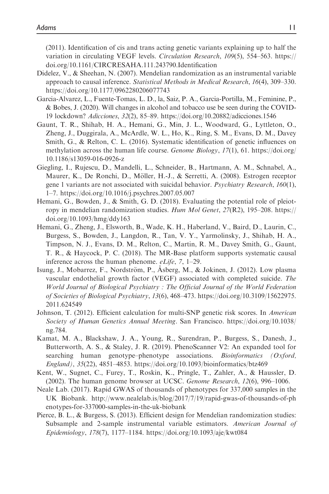(2011). Identification of cis and trans acting genetic variants explaining up to half the variation in circulating VEGF levels. Circulation Research, 109(5), 554–563. [https://](https://doi.org/10.1161/CIRCRESAHA.111.243790.Identification) [doi.org/10.1161/CIRCRESAHA.111.243790.Identification](https://doi.org/10.1161/CIRCRESAHA.111.243790.Identification)

- Didelez, V., & Sheehan, N. (2007). Mendelian randomization as an instrumental variable approach to causal inference. Statistical Methods in Medical Research, 16(4), 309–330. <https://doi.org/10.1177/0962280206077743>
- Garcia-Alvarez, L., Fuente-Tomas, L. D., la, Saiz, P. A., Garcia-Portilla, M., Feminine, P., & Bobes, J. (2020). Will changes in alcohol and tobacco use be seen during the COVID-19 lockdown? Adicciones, 32(2), 85–89.<https://doi.org/10.20882/adicciones.1546>
- Gaunt, T. R., Shihab, H. A., Hemani, G., Min, J. L., Woodward, G., Lyttleton, O., Zheng, J., Duggirala, A., McArdle, W. L., Ho, K., Ring, S. M., Evans, D. M., Davey Smith, G., & Relton, C. L. (2016). Systematic identification of genetic influences on methylation across the human life course. Genome Biology, 17(1), 61. [https://doi.org/](https://doi.org/10.1186/s13059-016-0926-z) [10.1186/s13059-016-0926-z](https://doi.org/10.1186/s13059-016-0926-z)
- Giegling, I., Rujescu, D., Mandelli, L., Schneider, B., Hartmann, A. M., Schnabel, A., Maurer, K., De Ronchi, D., Möller, H.-J., & Serretti, A. (2008). Estrogen receptor gene 1 variants are not associated with suicidal behavior. Psychiatry Research, 160(1), 1–7.<https://doi.org/10.1016/j.psychres.2007.05.007>
- Hemani, G., Bowden, J., & Smith, G. D. (2018). Evaluating the potential role of pleiotropy in mendelian randomization studies. Hum Mol Genet,  $27(R2)$ , 195–208. [https://](https://doi.org/10.1093/hmg/ddy163) [doi.org/10.1093/hmg/ddy163](https://doi.org/10.1093/hmg/ddy163)
- Hemani, G., Zheng, J., Elsworth, B., Wade, K. H., Haberland, V., Baird, D., Laurin, C., Burgess, S., Bowden, J., Langdon, R., Tan, V. Y., Yarmolinsky, J., Shihab, H. A., Timpson, N. J., Evans, D. M., Relton, C., Martin, R. M., Davey Smith, G., Gaunt, T. R., & Haycock, P. C. (2018). The MR-Base platform supports systematic causal inference across the human phenome. eLife, 7, 1–29.
- Isung, J., Mobarrez, F., Nordström, P., Ásberg, M., & Jokinen, J. (2012). Low plasma vascular endothelial growth factor (VEGF) associated with completed suicide. The World Journal of Biological Psychiatry : The Official Journal of the World Federation of Societies of Biological Psychiatry, 13(6), 468–473. [https://doi.org/10.3109/15622975.](https://doi.org/10.3109/15622975.2011.624549) [2011.624549](https://doi.org/10.3109/15622975.2011.624549)
- Johnson, T. (2012). Efficient calculation for multi-SNP genetic risk scores. In American Society of Human Genetics Annual Meeting. San Francisco. [https://doi.org/10.1038/](https://doi.org/10.1038/ng.784) [ng.784.](https://doi.org/10.1038/ng.784)
- Kamat, M. A., Blackshaw, J. A., Young, R., Surendran, P., Burgess, S., Danesh, J., Butterworth, A. S., & Staley, J. R. (2019). PhenoScanner V2: An expanded tool for searching human genotype–phenotype associations. Bioinformatics (Oxford, England), 35(22), 4851–4853.<https://doi.org/10.1093/bioinformatics/btz469>
- Kent, W., Sugnet, C., Furey, T., Roskin, K., Pringle, T., Zahler, A., & Haussler, D. (2002). The human genome browser at UCSC. Genome Research, 12(6), 996–1006.
- Neale Lab. (2017). Rapid GWAS of thousands of phenotypes for 337,000 samples in the UK Biobank. [http://www.nealelab.is/blog/2017/7/19/rapid-gwas-of-thousands-of-ph](http://www.nealelab.is/blog/2017/7/19/rapid-gwas-of-thousands-of-phenotypes-for-337000-samples-in-the-uk-biobank) [enotypes-for-337000-samples-in-the-uk-biobank](http://www.nealelab.is/blog/2017/7/19/rapid-gwas-of-thousands-of-phenotypes-for-337000-samples-in-the-uk-biobank)
- Pierce, B. L., & Burgess, S. (2013). Efficient design for Mendelian randomization studies: Subsample and 2-sample instrumental variable estimators. American Journal of Epidemiology, 178(7), 1177–1184.<https://doi.org/10.1093/aje/kwt084>